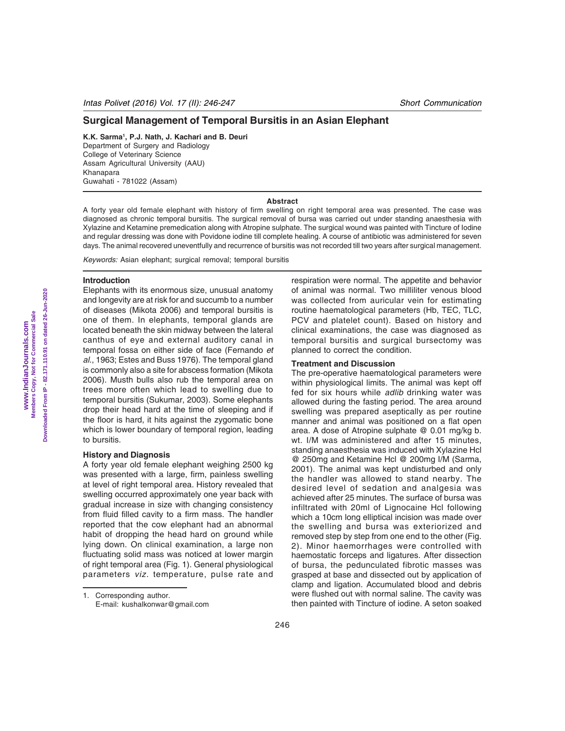# **Surgical Management of Temporal Bursitis in an Asian Elephant**

**K.K. Sarma1 , P.J. Nath, J. Kachari and B. Deuri** Department of Surgery and Radiology College of Veterinary Science Assam Agricultural University (AAU) Khanapara Guwahati - 781022 (Assam)

### **Abstract**

A forty year old female elephant with history of firm swelling on right temporal area was presented. The case was diagnosed as chronic temporal bursitis. The surgical removal of bursa was carried out under standing anaesthesia with Xylazine and Ketamine premedication along with Atropine sulphate. The surgical wound was painted with Tincture of Iodine and regular dressing was done with Povidone iodine till complete healing. A course of antibiotic was administered for seven days. The animal recovered uneventfully and recurrence of bursitis was not recorded till two years after surgical management.

*Keywords:* Asian elephant; surgical removal; temporal bursitis

# **Introduction**

Elephants with its enormous size, unusual anatomy and longevity are at risk for and succumb to a number of diseases (Mikota 2006) and temporal bursitis is one of them. In elephants, temporal glands are located beneath the skin midway between the lateral canthus of eye and external auditory canal in temporal fossa on either side of face (Fernando *et al*., 1963; Estes and Buss 1976). The temporal gland is commonly also a site for abscess formation (Mikota 2006). Musth bulls also rub the temporal area on trees more often which lead to swelling due to temporal bursitis (Sukumar, 2003). Some elephants drop their head hard at the time of sleeping and if the floor is hard, it hits against the zygomatic bone which is lower boundary of temporal region, leading to bursitis.

#### **History and Diagnosis**

A forty year old female elephant weighing 2500 kg was presented with a large, firm, painless swelling at level of right temporal area. History revealed that swelling occurred approximately one year back with gradual increase in size with changing consistency from fluid filled cavity to a firm mass. The handler reported that the cow elephant had an abnormal habit of dropping the head hard on ground while lying down. On clinical examination, a large non fluctuating solid mass was noticed at lower margin of right temporal area (Fig. 1). General physiological parameters *viz.* temperature, pulse rate and

respiration were normal. The appetite and behavior of animal was normal. Two milliliter venous blood was collected from auricular vein for estimating routine haematological parameters (Hb, TEC, TLC, PCV and platelet count). Based on history and clinical examinations, the case was diagnosed as temporal bursitis and surgical bursectomy was planned to correct the condition.

# **Treatment and Discussion**

The pre-operative haematological parameters were within physiological limits. The animal was kept off fed for six hours while *adlib* drinking water was allowed during the fasting period. The area around swelling was prepared aseptically as per routine manner and animal was positioned on a flat open area. A dose of Atropine sulphate @ 0.01 mg/kg b. wt. I/M was administered and after 15 minutes, standing anaesthesia was induced with Xylazine Hcl @ 250mg and Ketamine Hcl @ 200mg I/M (Sarma, 2001). The animal was kept undisturbed and only the handler was allowed to stand nearby. The desired level of sedation and analgesia was achieved after 25 minutes. The surface of bursa was infiltrated with 20ml of Lignocaine Hcl following which a 10cm long elliptical incision was made over the swelling and bursa was exteriorized and removed step by step from one end to the other (Fig. 2). Minor haemorrhages were controlled with haemostatic forceps and ligatures. After dissection of bursa, the pedunculated fibrotic masses was grasped at base and dissected out by application of clamp and ligation. Accumulated blood and debris were flushed out with normal saline. The cavity was then painted with Tincture of iodine. A seton soaked

<sup>1.</sup> Corresponding author. E-mail: kushalkonwar@gmail.com